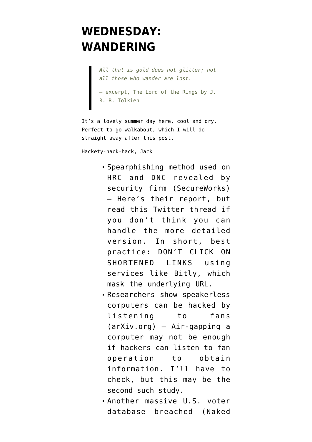## **[WEDNESDAY:](https://www.emptywheel.net/2016/06/29/wednesday-wandering/) [WANDERING](https://www.emptywheel.net/2016/06/29/wednesday-wandering/)**

*All that is gold does not glitter; not all those who wander are lost.* — excerpt, The Lord of the Rings by J.

R. R. Tolkien

It's a lovely summer day here, cool and dry. Perfect to go walkabout, which I will do straight away after this post.

Hackety-hack-hack, Jack

- [Spearphishing method used on](https://www.secureworks.com/research/threat-group-4127-targets-hillary-clinton-presidential-campaign) [HRC and DNC revealed by](https://www.secureworks.com/research/threat-group-4127-targets-hillary-clinton-presidential-campaign) [security firm](https://www.secureworks.com/research/threat-group-4127-targets-hillary-clinton-presidential-campaign) (SecureWorks) — Here's their report, but [read this Twitter thread](https://twitter.com/pwnallthethings/status/747981710441197569) if you don't think you can handle the more detailed version. In short, best practice: DON'T CLICK ON SHORTENED LINKS using services like Bitly, which mask the underlying URL.
- [Researchers show speakerless](https://arxiv.org/abs/1606.05915) [computers can be hacked by](https://arxiv.org/abs/1606.05915) [listening to fans](https://arxiv.org/abs/1606.05915) (arXiv.org) — Air-gapping a computer may not be enough if hackers can listen to fan operation to obtain information. I'll have to check, but this may be the second such study.
- [Another massive U.S. voter](https://nakedsecurity.sophos.com/2016/06/23/154-million-voter-records-exposed-including-gun-ownership-facebook-profiles-and-more/) [database breached](https://nakedsecurity.sophos.com/2016/06/23/154-million-voter-records-exposed-including-gun-ownership-facebook-profiles-and-more/) (Naked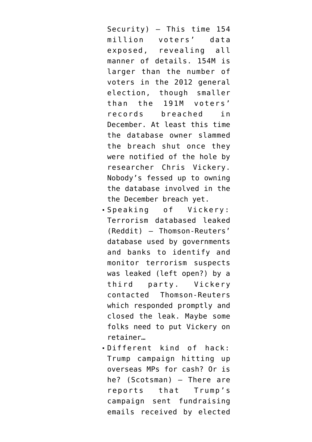Security) — This time 154 million voters' data exposed, revealing all manner of details. 154M is larger than the number of voters in the 2012 general election, though smaller than the 191M voters' records breached in December. At least this time the database owner slammed the breach shut once they were notified of the hole by researcher Chris Vickery. Nobody's fessed up to owning the database involved in the the December breach yet.

- [Speaking of Vickery:](https://www.reddit.com/r/privacy/comments/4q840n/terrorism_blacklist_i_have_a_copy_should_it_be/) [Terrorism databased leaked](https://www.reddit.com/r/privacy/comments/4q840n/terrorism_blacklist_i_have_a_copy_should_it_be/) (Reddit) — Thomson-Reuters' database used by governments and banks to identify and monitor terrorism suspects was leaked (left open?) by a third party. Vickery contacted Thomson-Reuters which responded promptly and closed the leak. Maybe some folks need to put Vickery on retainer…
- [Different kind of hack:](http://www.scotsman.com/news/natalie-mcgarry-publicly-rebuffs-donald-trump-fundraising-plea-1-4164192) [Trump campaign hitting up](http://www.scotsman.com/news/natalie-mcgarry-publicly-rebuffs-donald-trump-fundraising-plea-1-4164192) [overseas MPs for cash? Or is](http://www.scotsman.com/news/natalie-mcgarry-publicly-rebuffs-donald-trump-fundraising-plea-1-4164192) [he?](http://www.scotsman.com/news/natalie-mcgarry-publicly-rebuffs-donald-trump-fundraising-plea-1-4164192) (Scotsman) — There are reports that Trump's campaign sent fundraising emails received by elected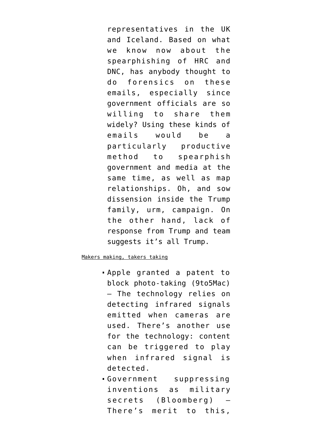representatives in the UK and Iceland. Based on what we know now about the spearphishing of HRC and DNC, has anybody thought to do forensics on these emails, especially since government officials are so willing to share them widely? Using these kinds of emails would be a particularly productive method to spearphish government and media at the same time, as well as map relationships. Oh, and sow dissension inside the Trump family, urm, campaign. On the other hand, lack of response from Trump and team suggests it's all Trump.

## Makers making, takers taking

- [Apple granted a patent to](http://9to5mac.com/2016/06/28/apple-patent-infra-red-block-photos/) [block photo-taking](http://9to5mac.com/2016/06/28/apple-patent-infra-red-block-photos/) (9to5Mac) — The technology relies on detecting infrared signals emitted when cameras are used. There's another use for the technology: content can be triggered to play when infrared signal is detected.
- [Government suppressing](http://www.bloomberg.com/news/articles/2016-06-08/congratulations-your-genius-patent-is-now-a-military-secret) [inventions as military](http://www.bloomberg.com/news/articles/2016-06-08/congratulations-your-genius-patent-is-now-a-military-secret) [secrets](http://www.bloomberg.com/news/articles/2016-06-08/congratulations-your-genius-patent-is-now-a-military-secret) (Bloomberg) — There's merit to this,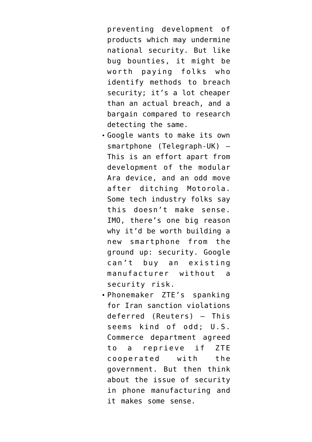preventing development of products which may undermine national security. But like bug bounties, it might be worth paying folks who identify methods to breach security; it's a lot cheaper than an actual breach, and a bargain compared to research detecting the same.

- [Google wants to make its own](http://www.telegraph.co.uk/technology/2016/06/26/google-to-step-up-smartphone-wars-with-release-of-own-handset/) [smartphone](http://www.telegraph.co.uk/technology/2016/06/26/google-to-step-up-smartphone-wars-with-release-of-own-handset/) (Telegraph-UK) — This is an effort apart from development of the modular Ara device, and an odd move after ditching Motorola. Some tech industry folks say [this doesn't make sense](http://arstechnica.com/gadgets/2016/06/for-google-building-its-own-smartphone-doesnt-make-a-lot-of-sense/). IMO, there's one big reason why it'd be worth building a new smartphone from the ground up: security. Google can't buy an existing manufacturer without a security risk.
- [Phonemaker ZTE's spanking](http://www.reuters.com/article/us-zte-usa-sanctions-idUSKCN0ZD2W2) [for Iran sanction violations](http://www.reuters.com/article/us-zte-usa-sanctions-idUSKCN0ZD2W2) [deferred](http://www.reuters.com/article/us-zte-usa-sanctions-idUSKCN0ZD2W2) (Reuters) — This seems kind of odd; U.S. Commerce department agreed to a reprieve if ZTE cooperated with the government. But then think about the issue of security in phone manufacturing and it makes some sense.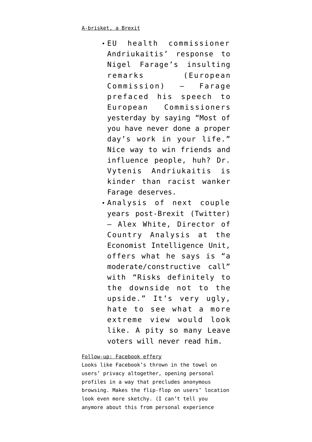- [EU health commissioner](https://ec.europa.eu/commission/2014-2019/andriukaitis/blog/thoughts-weareseat123_en) [Andriukaitis' response to](https://ec.europa.eu/commission/2014-2019/andriukaitis/blog/thoughts-weareseat123_en) [Nigel Farage's insulting](https://ec.europa.eu/commission/2014-2019/andriukaitis/blog/thoughts-weareseat123_en) [remarks](https://ec.europa.eu/commission/2014-2019/andriukaitis/blog/thoughts-weareseat123_en) (European Commission) — Farage prefaced his speech to European Commissioners yesterday by saying "Most of you have never done a proper day's work in your life." Nice way to win friends and influence people, huh? Dr. Vytenis Andriukaitis is kinder than racist wanker Farage deserves.
- [Analysis of next couple](https://twitter.com/AlexWhite1812/status/748194632295649280) [years post-Brexit](https://twitter.com/AlexWhite1812/status/748194632295649280) (Twitter) — Alex White, Director of Country Analysis at the Economist Intelligence Unit, offers what he says is "a moderate/constructive call" with "Risks definitely to the downside not to the upside." It's very ugly, hate to see what a more extreme view would look like. A pity so many Leave voters will never read him.

## Follow-up: Facebook effery

Looks like Facebook's [thrown in the towel on](https://www.theguardian.com/technology/2016/jun/29/facebook-privacy-secret-profile-exposed) [users' privacy](https://www.theguardian.com/technology/2016/jun/29/facebook-privacy-secret-profile-exposed) altogether, opening personal profiles in a way that precludes anonymous browsing. Makes the [flip-flop on users' location](https://www.emptywheel.net/2016/06/28/facebooks-flip-flop-is-it-a-law-enforcement-thing/) look even more sketchy. (I can't tell you anymore about this from personal experience